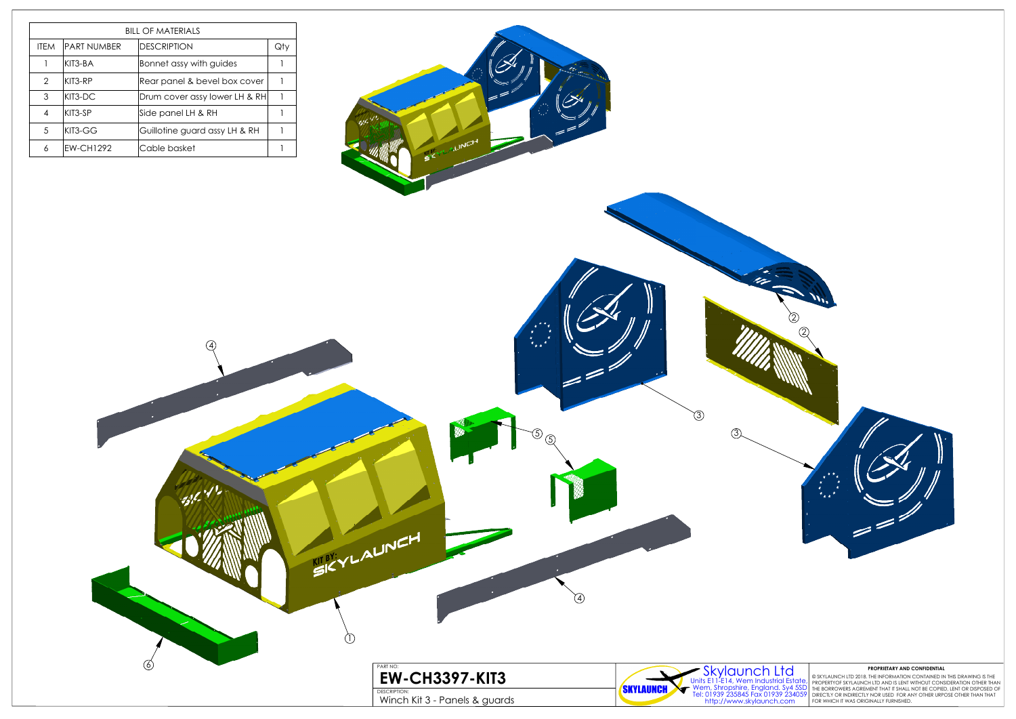



© SKYLAUNCH LTD 2018. THE INFORMATION CONTAINED IN THIS DRAWING IS THE<br>PROPERTYOF SKYLAUNCH LTD AND IS LENT WITHOUT CONSIDERATION OTHER THAN<br>THE BORROWERS AGREMENT THAT IT SHALL NOT BE COPIED, LENT OR DISPOSED OF<br>DIRECTLY

|               | <b>BILL OF MATERIALS</b> |                               |     |  |  |  |
|---------------|--------------------------|-------------------------------|-----|--|--|--|
| <b>ITEM</b>   | <b>PART NUMBER</b>       | <b>DESCRIPTION</b>            | Qty |  |  |  |
|               | KIT3-BA                  | Bonnet assy with guides       |     |  |  |  |
| $\mathcal{P}$ | KIT3-RP                  | Rear panel & bevel box cover  |     |  |  |  |
| 3             | KIT3-DC                  | Drum cover assy lower LH & RH |     |  |  |  |
| 4             | KIT3-SP                  | Side panel LH & RH            |     |  |  |  |
| 5             | $KIT3-GG$                | Guillotine guard assy LH & RH |     |  |  |  |
| 6             | <b>EW-CH1292</b>         | Cable basket                  |     |  |  |  |